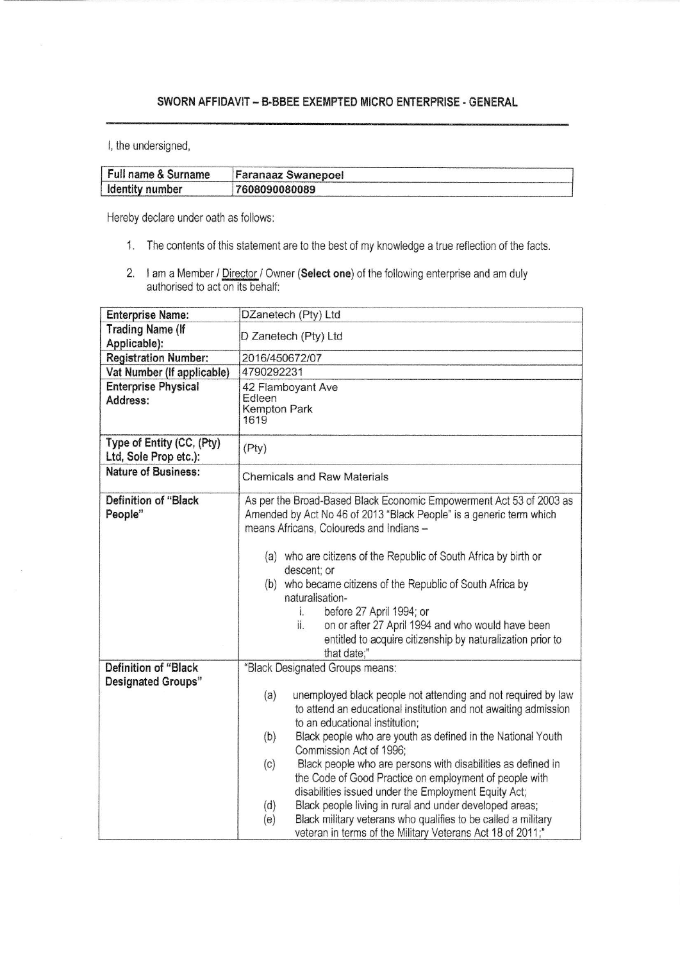## SWORN AFFIOAVIT - B.BBEE EXEMPTED MICRO ENTERPRISE .GENERAL

l, the undersigned,

| Full name & Surname | <b>Faranaaz Swanepoel</b> |
|---------------------|---------------------------|
| ldentity number     | 7608090080089             |

Hereby declare under oath as follows:

- 1. The contents of this statement are to the best of my knowledge a true reflection of the facts.
- 2. I am a Member / Director / Owner (Select one) of the following enterprise and am duly authorised to act on its behalf:

| <b>Enterprise Name:</b>                                  | DZanetech (Pty) Ltd                                                                                                                                                                                                                                                                                                                                                                                                                                                                                                                                                      |
|----------------------------------------------------------|--------------------------------------------------------------------------------------------------------------------------------------------------------------------------------------------------------------------------------------------------------------------------------------------------------------------------------------------------------------------------------------------------------------------------------------------------------------------------------------------------------------------------------------------------------------------------|
| <b>Trading Name (If</b><br>Applicable):                  | D Zanetech (Pty) Ltd                                                                                                                                                                                                                                                                                                                                                                                                                                                                                                                                                     |
| <b>Registration Number:</b>                              | 2016/450672/07                                                                                                                                                                                                                                                                                                                                                                                                                                                                                                                                                           |
| Vat Number (If applicable)                               | 4790292231                                                                                                                                                                                                                                                                                                                                                                                                                                                                                                                                                               |
| <b>Enterprise Physical</b>                               | 42 Flamboyant Ave                                                                                                                                                                                                                                                                                                                                                                                                                                                                                                                                                        |
| Address:                                                 | Edleen<br>Kempton Park<br>1619                                                                                                                                                                                                                                                                                                                                                                                                                                                                                                                                           |
| Type of Entity (CC, (Pty)<br>Ltd, Sole Prop etc.):       | (Pty)                                                                                                                                                                                                                                                                                                                                                                                                                                                                                                                                                                    |
| <b>Nature of Business:</b>                               | <b>Chemicals and Raw Materials</b>                                                                                                                                                                                                                                                                                                                                                                                                                                                                                                                                       |
| Definition of "Black<br>People"                          | As per the Broad-Based Black Economic Empowerment Act 53 of 2003 as<br>Amended by Act No 46 of 2013 "Black People" is a generic term which<br>means Africans, Coloureds and Indians -                                                                                                                                                                                                                                                                                                                                                                                    |
|                                                          | (a) who are citizens of the Republic of South Africa by birth or<br>descent; or<br>(b) who became citizens of the Republic of South Africa by<br>naturalisation-<br>before 27 April 1994; or<br>i.<br>ii.<br>on or after 27 April 1994 and who would have been<br>entitled to acquire citizenship by naturalization prior to<br>that date;"                                                                                                                                                                                                                              |
| <b>Definition of "Black</b><br><b>Designated Groups"</b> | "Black Designated Groups means:<br>unemployed black people not attending and not required by law<br>(a)<br>to attend an educational institution and not awaiting admission<br>to an educational institution;<br>Black people who are youth as defined in the National Youth<br>(b)<br>Commission Act of 1996;<br>Black people who are persons with disabilities as defined in<br>(c)<br>the Code of Good Practice on employment of people with<br>disabilities issued under the Employment Equity Act;<br>Black people living in rural and under developed areas;<br>(d) |
|                                                          | Black military veterans who qualifies to be called a military<br>(e)<br>veteran in terms of the Military Veterans Act 18 of 2011;"                                                                                                                                                                                                                                                                                                                                                                                                                                       |